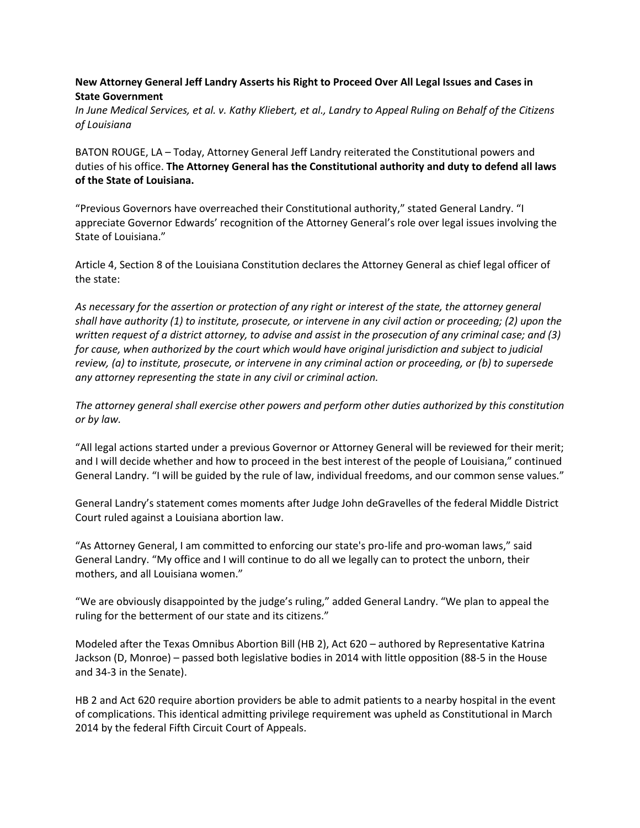## **New Attorney General Jeff Landry Asserts his Right to Proceed Over All Legal Issues and Cases in State Government**

*In June Medical Services, et al. v. Kathy Kliebert, et al., Landry to Appeal Ruling on Behalf of the Citizens of Louisiana*

BATON ROUGE, LA – Today, Attorney General Jeff Landry reiterated the Constitutional powers and duties of his office. **The Attorney General has the Constitutional authority and duty to defend all laws of the State of Louisiana.**

"Previous Governors have overreached their Constitutional authority," stated General Landry. "I appreciate Governor Edwards' recognition of the Attorney General's role over legal issues involving the State of Louisiana."

Article 4, Section 8 of the Louisiana Constitution declares the Attorney General as chief legal officer of the state:

*As necessary for the assertion or protection of any right or interest of the state, the attorney general shall have authority (1) to institute, prosecute, or intervene in any civil action or proceeding; (2) upon the written request of a district attorney, to advise and assist in the prosecution of any criminal case; and (3)*  for cause, when authorized by the court which would have original jurisdiction and subject to judicial *review, (a) to institute, prosecute, or intervene in any criminal action or proceeding, or (b) to supersede any attorney representing the state in any civil or criminal action.*

*The attorney general shall exercise other powers and perform other duties authorized by this constitution or by law.*

"All legal actions started under a previous Governor or Attorney General will be reviewed for their merit; and I will decide whether and how to proceed in the best interest of the people of Louisiana," continued General Landry. "I will be guided by the rule of law, individual freedoms, and our common sense values."

General Landry's statement comes moments after Judge John deGravelles of the federal Middle District Court ruled against a Louisiana abortion law.

"As Attorney General, I am committed to enforcing our state's pro-life and pro-woman laws," said General Landry. "My office and I will continue to do all we legally can to protect the unborn, their mothers, and all Louisiana women."

"We are obviously disappointed by the judge's ruling," added General Landry. "We plan to appeal the ruling for the betterment of our state and its citizens."

Modeled after the Texas Omnibus Abortion Bill (HB 2), Act 620 – authored by Representative Katrina Jackson (D, Monroe) – passed both legislative bodies in 2014 with little opposition (88-5 in the House and 34-3 in the Senate).

HB 2 and Act 620 require abortion providers be able to admit patients to a nearby hospital in the event of complications. This identical admitting privilege requirement was upheld as Constitutional in March 2014 by the federal Fifth Circuit Court of Appeals.